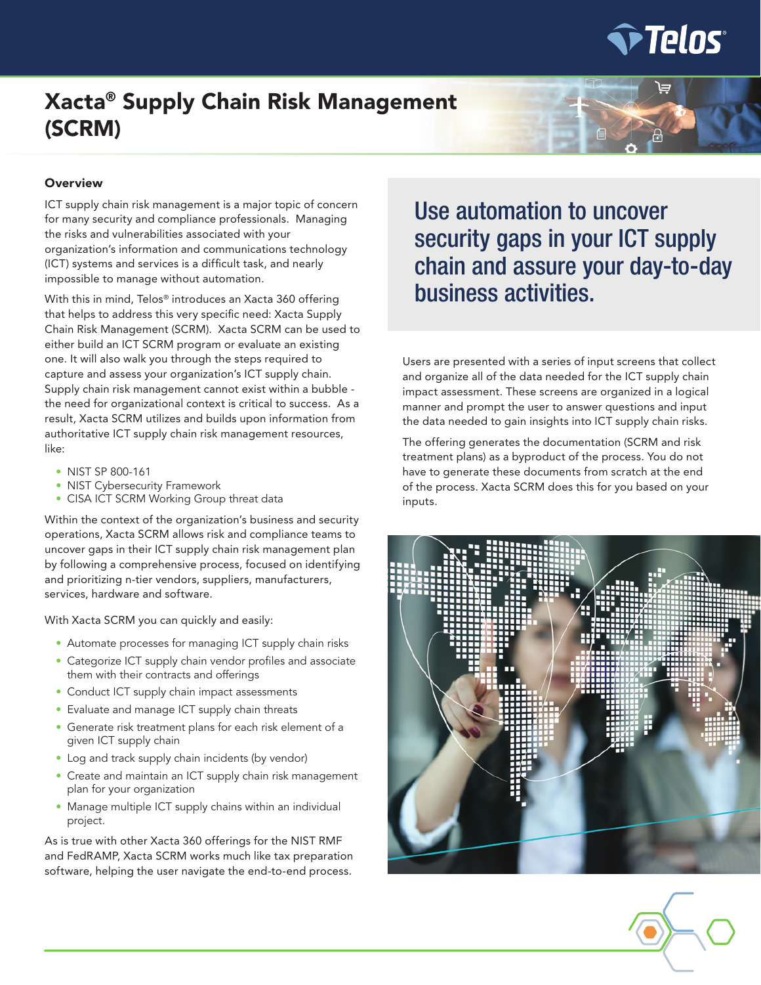

# Xacta® Supply Chain Risk Management (SCRM)

## **Overview**

ICT supply chain risk management is a major topic of concern for many security and compliance professionals. Managing the risks and vulnerabilities associated with your organization's information and communications technology (ICT) systems and services is a difficult task, and nearly impossible to manage without automation.

With this in mind, Telos® introduces an Xacta 360 offering that helps to address this very specific need: Xacta Supply Chain Risk Management (SCRM). Xacta SCRM can be used to either build an ICT SCRM program or evaluate an existing one. It will also walk you through the steps required to capture and assess your organization's ICT supply chain. Supply chain risk management cannot exist within a bubble the need for organizational context is critical to success. As a result, Xacta SCRM utilizes and builds upon information from authoritative ICT supply chain risk management resources, like:

- NIST SP 800-161
- NIST Cybersecurity Framework
- CISA ICT SCRM Working Group threat data

Within the context of the organization's business and security operations, Xacta SCRM allows risk and compliance teams to uncover gaps in their ICT supply chain risk management plan by following a comprehensive process, focused on identifying and prioritizing n-tier vendors, suppliers, manufacturers, services, hardware and software.

With Xacta SCRM you can quickly and easily:

- Automate processes for managing ICT supply chain risks
- Categorize ICT supply chain vendor profiles and associate them with their contracts and offerings
- Conduct ICT supply chain impact assessments
- Evaluate and manage ICT supply chain threats
- Generate risk treatment plans for each risk element of a given ICT supply chain
- Log and track supply chain incidents (by vendor)
- Create and maintain an ICT supply chain risk management plan for your organization
- Manage multiple ICT supply chains within an individual project.

As is true with other Xacta 360 offerings for the NIST RMF and FedRAMP, Xacta SCRM works much like tax preparation software, helping the user navigate the end-to-end process.

Use automation to uncover security gaps in your ICT supply chain and assure your day-to-day business activities.

Users are presented with a series of input screens that collect and organize all of the data needed for the ICT supply chain impact assessment. These screens are organized in a logical manner and prompt the user to answer questions and input the data needed to gain insights into ICT supply chain risks.

The offering generates the documentation (SCRM and risk treatment plans) as a byproduct of the process. You do not have to generate these documents from scratch at the end of the process. Xacta SCRM does this for you based on your inputs.